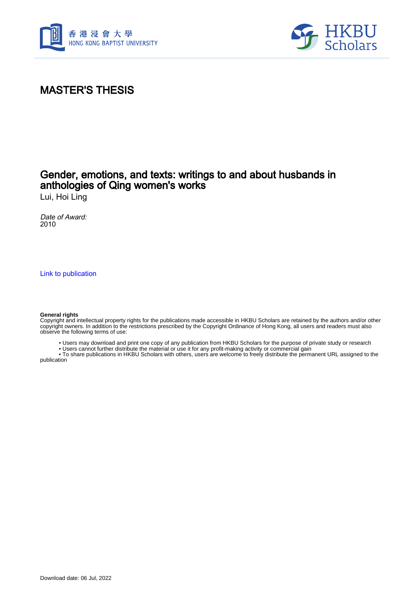



# MASTER'S THESIS

## Gender, emotions, and texts: writings to and about husbands in anthologies of Qing women's works

Lui, Hoi Ling

Date of Award: 2010

[Link to publication](https://scholars.hkbu.edu.hk/en/studentTheses/60d73edd-cfe9-4b4f-9611-9735bbe1d20a)

#### **General rights**

Copyright and intellectual property rights for the publications made accessible in HKBU Scholars are retained by the authors and/or other copyright owners. In addition to the restrictions prescribed by the Copyright Ordinance of Hong Kong, all users and readers must also observe the following terms of use:

- Users may download and print one copy of any publication from HKBU Scholars for the purpose of private study or research
- Users cannot further distribute the material or use it for any profit-making activity or commercial gain

 • To share publications in HKBU Scholars with others, users are welcome to freely distribute the permanent URL assigned to the publication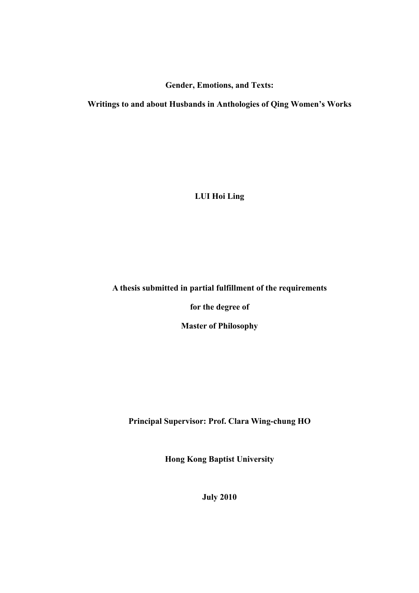**Gender, Emotions, and Texts:** 

**Writings to and about Husbands in Anthologies of Qing Women's Works** 

**LUI Hoi Ling** 

## **A thesis submitted in partial fulfillment of the requirements**

**for the degree of** 

**Master of Philosophy** 

**Principal Supervisor: Prof. Clara Wing-chung HO** 

**Hong Kong Baptist University** 

**July 2010**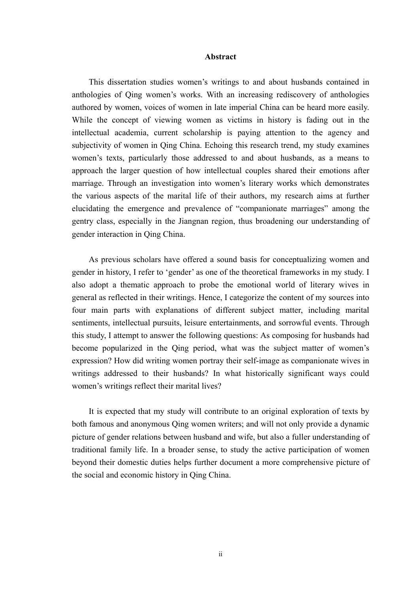#### **Abstract**

This dissertation studies women's writings to and about husbands contained in anthologies of Qing women's works. With an increasing rediscovery of anthologies authored by women, voices of women in late imperial China can be heard more easily. While the concept of viewing women as victims in history is fading out in the intellectual academia, current scholarship is paying attention to the agency and subjectivity of women in Qing China. Echoing this research trend, my study examines women's texts, particularly those addressed to and about husbands, as a means to approach the larger question of how intellectual couples shared their emotions after marriage. Through an investigation into women's literary works which demonstrates the various aspects of the marital life of their authors, my research aims at further elucidating the emergence and prevalence of "companionate marriages" among the gentry class, especially in the Jiangnan region, thus broadening our understanding of gender interaction in Qing China.

As previous scholars have offered a sound basis for conceptualizing women and gender in history, I refer to 'gender' as one of the theoretical frameworks in my study. I also adopt a thematic approach to probe the emotional world of literary wives in general as reflected in their writings. Hence, I categorize the content of my sources into four main parts with explanations of different subject matter, including marital sentiments, intellectual pursuits, leisure entertainments, and sorrowful events. Through this study, I attempt to answer the following questions: As composing for husbands had become popularized in the Qing period, what was the subject matter of women's expression? How did writing women portray their self-image as companionate wives in writings addressed to their husbands? In what historically significant ways could women's writings reflect their marital lives?

It is expected that my study will contribute to an original exploration of texts by both famous and anonymous Qing women writers; and will not only provide a dynamic picture of gender relations between husband and wife, but also a fuller understanding of traditional family life. In a broader sense, to study the active participation of women beyond their domestic duties helps further document a more comprehensive picture of the social and economic history in Qing China.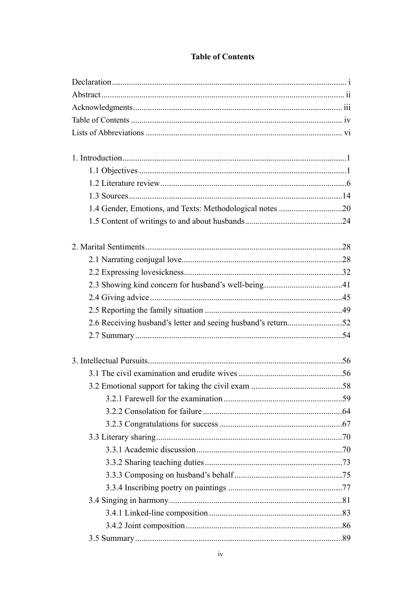| 1.4 Gender, Emotions, and Texts: Methodological notes 20<br>2.6 Receiving husband's letter and seeing husband's return52 |  |
|--------------------------------------------------------------------------------------------------------------------------|--|
|                                                                                                                          |  |
|                                                                                                                          |  |
|                                                                                                                          |  |
|                                                                                                                          |  |
|                                                                                                                          |  |
|                                                                                                                          |  |
|                                                                                                                          |  |
|                                                                                                                          |  |
|                                                                                                                          |  |
|                                                                                                                          |  |
|                                                                                                                          |  |
|                                                                                                                          |  |
|                                                                                                                          |  |
|                                                                                                                          |  |
|                                                                                                                          |  |
|                                                                                                                          |  |
|                                                                                                                          |  |
|                                                                                                                          |  |
|                                                                                                                          |  |
|                                                                                                                          |  |
|                                                                                                                          |  |
|                                                                                                                          |  |
|                                                                                                                          |  |
|                                                                                                                          |  |
|                                                                                                                          |  |
|                                                                                                                          |  |
|                                                                                                                          |  |
|                                                                                                                          |  |
|                                                                                                                          |  |
|                                                                                                                          |  |
|                                                                                                                          |  |
|                                                                                                                          |  |
|                                                                                                                          |  |
|                                                                                                                          |  |

### **Table of Contents**